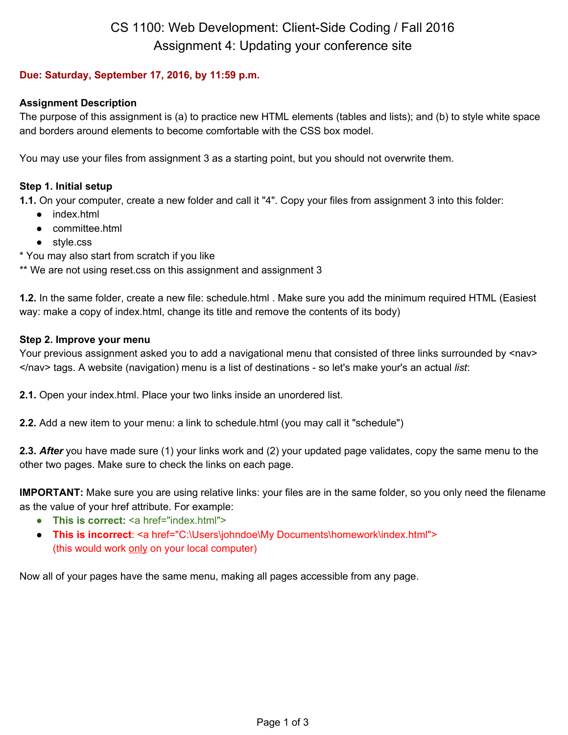# CS 1100: Web Development: Client-Side Coding / Fall 2016 Assignment 4: Updating your conference site

# **Due: Saturday, September 17, 2016, by 11:59 p.m.**

## **Assignment Description**

The purpose of this assignment is (a) to practice new HTML elements (tables and lists); and (b) to style white space and borders around elements to become comfortable with the CSS box model.

You may use your files from assignment 3 as a starting point, but you should not overwrite them.

# **Step 1. Initial setup**

**1.1.** On your computer, create a new folder and call it "4". Copy your files from assignment 3 into this folder:

- index.html
- committee.html
- style.css
- \* You may also start from scratch if you like

\*\* We are not using reset.css on this assignment and assignment 3

**1.2.** In the same folder, create a new file: schedule.html . Make sure you add the minimum required HTML (Easiest way: make a copy of index.html, change its title and remove the contents of its body)

## **Step 2. Improve your menu**

Your previous assignment asked you to add a navigational menu that consisted of three links surrounded by <nav> </nav> tags. A website (navigation) menu is a list of destinations - so let's make your's an actual *list*:

**2.1.** Open your index.html. Place your two links inside an unordered list.

**2.2.** Add a new item to your menu: a link to schedule.html (you may call it "schedule")

 **2.3.** *After* you have made sure (1) your links work and (2) your updated page validates, copy the same menu to the other two pages. Make sure to check the links on each page.

**IMPORTANT:** Make sure you are using relative links: your files are in the same folder, so you only need the filename as the value of your href attribute. For example:

- **This is correct:** <a href="index.html">
- **This is incorrect**: <a href="C:\Users\johndoe\My Documents\homework\index.html"> (this would work only on your local computer)

Now all of your pages have the same menu, making all pages accessible from any page.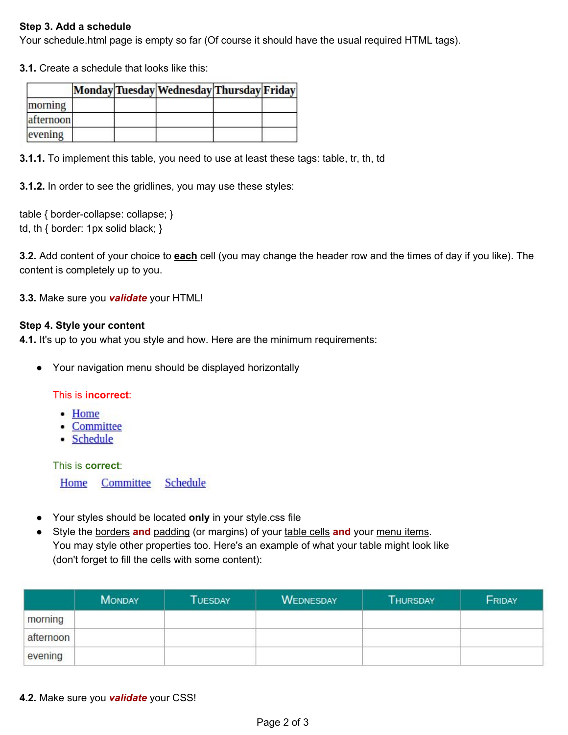## **Step 3. Add a schedule**

Your schedule.html page is empty so far (Of course it should have the usual required HTML tags).

**3.1.** Create a schedule that looks like this:

|           |  | Monday Tuesday Wednesday Thursday Friday |  |
|-----------|--|------------------------------------------|--|
| morning   |  |                                          |  |
| afternoon |  |                                          |  |
| evening   |  |                                          |  |

**3.1.1.** To implement this table, you need to use at least these tags: table, tr, th, td

**3.1.2.** In order to see the gridlines, you may use these styles:

table { border-collapse: collapse; } td, th { border: 1px solid black; }

**3.2.** Add content of your choice to **each** cell (you may change the header row and the times of day if you like). The content is completely up to you.

**3.3.** Make sure you *validate* your HTML!

#### **Step 4. Style your content**

**4.1.** It's up to you what you style and how. Here are the minimum requirements:

● Your navigation menu should be displayed horizontally

#### This is **incorrect**:

- Home
- Committee
- Schedule

This is **correct**:

Home Committee **Schedule** 

- Your styles should be located **only** in your style.css file
- Style the borders **and** padding (or margins) of your table cells **and** your menu items. You may style other properties too. Here's an example of what your table might look like (don't forget to fill the cells with some content):

|           | <b>MONDAY</b> | <b>TUESDAY</b> | <b>WEDNESDAY</b> | <b>THURSDAY</b> | FRIDAY |
|-----------|---------------|----------------|------------------|-----------------|--------|
| morning   |               |                |                  |                 |        |
| afternoon |               |                |                  |                 |        |
| evening   |               |                |                  |                 |        |